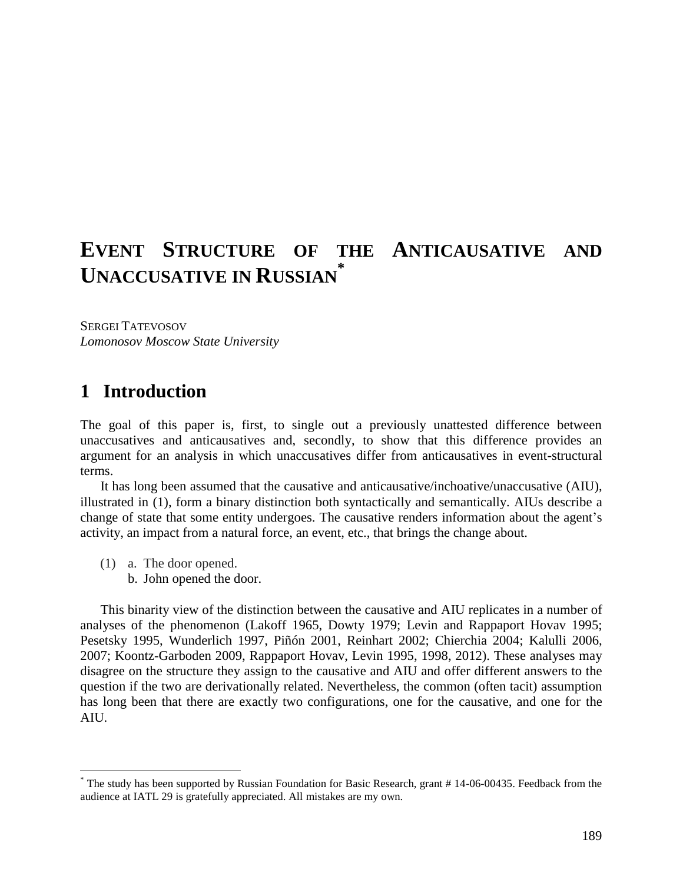# **EVENT STRUCTURE OF THE ANTICAUSATIVE AND UNACCUSATIVE IN RUSSIAN \***

SERGEI TATEVOSOV *Lomonosov Moscow State University*

## **1** Introduction

The goal of this paper is, first, to single out a previously unattested difference between unaccusatives and anticausatives and, secondly, to show that this difference provides an argument for an analysis in which unaccusatives differ from anticausatives in event-structural terms.

It has long been assumed that the causative and anticausative/inchoative/unaccusative (AIU), illustrated in (1), form a binary distinction both syntactically and semantically. AIUs describe a change of state that some entity undergoes. The causative renders information about the agent's activity, an impact from a natural force, an event, etc., that brings the change about.

(1) a. The door opened.

 $\overline{a}$ 

b. John opened the door.

This binarity view of the distinction between the causative and AIU replicates in a number of analyses of the phenomenon (Lakoff 1965, Dowty 1979; Levin and Rappaport Hovav 1995; Pesetsky 1995, Wunderlich 1997, Piñón 2001, Reinhart 2002; Chierchia 2004; Kalulli 2006, 2007; Koontz-Garboden 2009, Rappaport Hovav, Levin 1995, 1998, 2012). These analyses may disagree on the structure they assign to the causative and AIU and offer different answers to the question if the two are derivationally related. Nevertheless, the common (often tacit) assumption has long been that there are exactly two configurations, one for the causative, and one for the AIU.

<sup>\*</sup> The study has been supported by Russian Foundation for Basic Research, grant # 14-06-00435. Feedback from the audience at IATL 29 is gratefully appreciated. All mistakes are my own.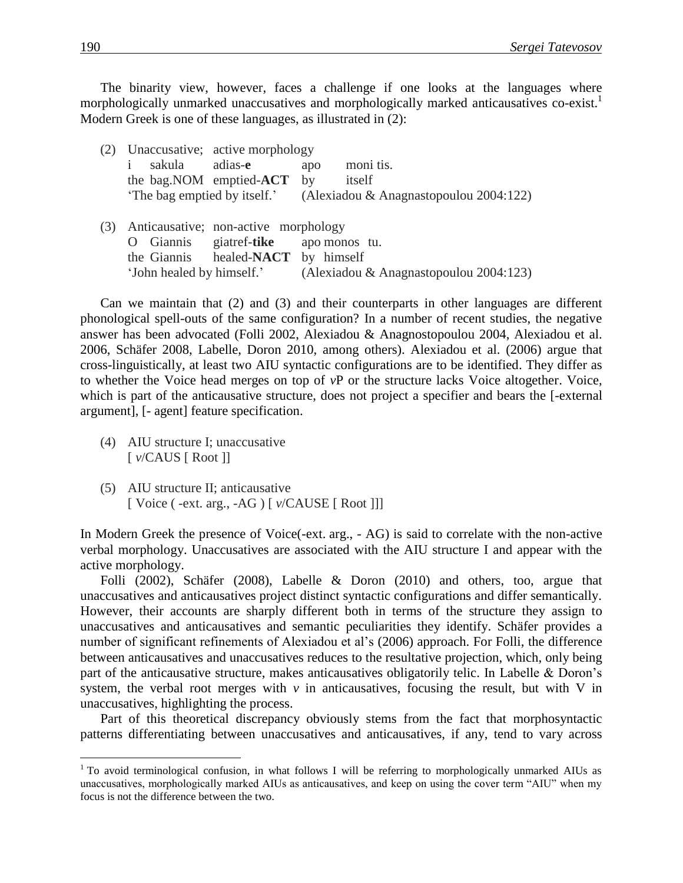The binarity view, however, faces a challenge if one looks at the languages where morphologically unmarked unaccusatives and morphologically marked anticausatives co-exist.<sup>1</sup> Modern Greek is one of these languages, as illustrated in (2):

|     | Unaccusative; active morphology           |                                        |  |  |
|-----|-------------------------------------------|----------------------------------------|--|--|
|     | sakula<br>adias-e                         | moni tis.<br>apo                       |  |  |
|     | the bag. NOM emptied-ACT by               | itself                                 |  |  |
|     | The bag emptied by itself.                | (Alexiadou & Anagnastopoulou 2004:122) |  |  |
|     |                                           |                                        |  |  |
| (3) | Anticausative; non-active morphology      |                                        |  |  |
|     | Giannis giatref-tike<br>$\mathbf{\Omega}$ | apo monos tu.                          |  |  |
|     | the Giannis healed-NACT by himself        |                                        |  |  |
|     | 'John healed by himself.'                 | (Alexiadou & Anagnastopoulou 2004:123) |  |  |

Can we maintain that (2) and (3) and their counterparts in other languages are different phonological spell-outs of the same configuration? In a number of recent studies, the negative answer has been advocated (Folli 2002, Alexiadou & Anagnostopoulou 2004, Alexiadou et al. 2006, Schäfer 2008, Labelle, Doron 2010, among others). Alexiadou et al. (2006) argue that cross-linguistically, at least two AIU syntactic configurations are to be identified. They differ as to whether the Voice head merges on top of *v*P or the structure lacks Voice altogether. Voice, which is part of the anticausative structure, does not project a specifier and bears the [-external argument], [- agent] feature specification.

- (4) AIU structure I; unaccusative [ *v*/CAUS [ Root ]]
- (5) AIU structure II; anticausative [ Voice ( -ext. arg., -AG ) [  $v/CAUSE$  [ Root ]]]

In Modern Greek the presence of Voice(-ext. arg., - AG) is said to correlate with the non-active verbal morphology. Unaccusatives are associated with the AIU structure I and appear with the active morphology.

Folli (2002), Schäfer (2008), Labelle & Doron (2010) and others, too, argue that unaccusatives and anticausatives project distinct syntactic configurations and differ semantically. However, their accounts are sharply different both in terms of the structure they assign to unaccusatives and anticausatives and semantic peculiarities they identify. Schäfer provides a number of significant refinements of Alexiadou et al's (2006) approach. For Folli, the difference between anticausatives and unaccusatives reduces to the resultative projection, which, only being part of the anticausative structure, makes anticausatives obligatorily telic. In Labelle & Doron's system, the verbal root merges with  $\nu$  in anticausatives, focusing the result, but with V in unaccusatives, highlighting the process.

Part of this theoretical discrepancy obviously stems from the fact that morphosyntactic patterns differentiating between unaccusatives and anticausatives, if any, tend to vary across

 $1$  To avoid terminological confusion, in what follows I will be referring to morphologically unmarked AIUs as unaccusatives, morphologically marked AIUs as anticausatives, and keep on using the cover term "AIU" when my focus is not the difference between the two.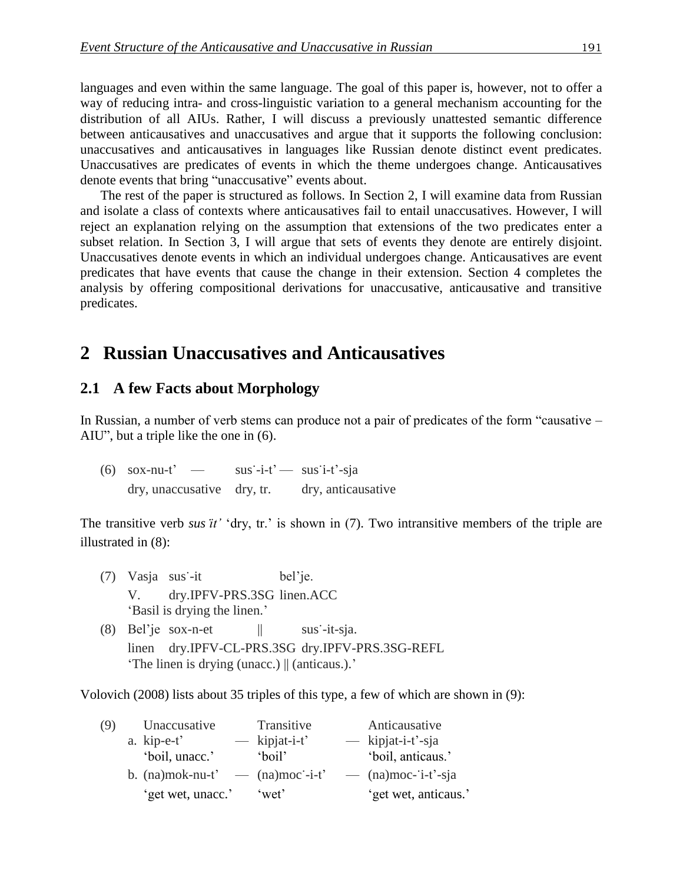languages and even within the same language. The goal of this paper is, however, not to offer a way of reducing intra- and cross-linguistic variation to a general mechanism accounting for the distribution of all AIUs. Rather, I will discuss a previously unattested semantic difference between anticausatives and unaccusatives and argue that it supports the following conclusion: unaccusatives and anticausatives in languages like Russian denote distinct event predicates. Unaccusatives are predicates of events in which the theme undergoes change. Anticausatives denote events that bring "unaccusative" events about.

The rest of the paper is structured as follows. In Section 2, I will examine data from Russian and isolate a class of contexts where anticausatives fail to entail unaccusatives. However, I will reject an explanation relying on the assumption that extensions of the two predicates enter a subset relation. In Section 3, I will argue that sets of events they denote are entirely disjoint. Unaccusatives denote events in which an individual undergoes change. Anticausatives are event predicates that have events that cause the change in their extension. Section 4 completes the analysis by offering compositional derivations for unaccusative, anticausative and transitive predicates.

## **2**xx**Russian Unaccusatives and Anticausatives**

### **2.1** A few Facts about Morphology

In Russian, a number of verb stems can produce not a pair of predicates of the form "causative – AIU", but a triple like the one in (6).

 $(6)$  sox-nu-t' — sus'-i-t' — sus'i-t'-sja dry, unaccusative dry, tr. dry, anticausative

The transitive verb *susit'* 'dry, tr.' is shown in (7). Two intransitive members of the triple are illustrated in (8):

- (7) Vasja sus-it bel'je. V. dry.IPFV-PRS.3SG linen.ACC 'Basil is drying the linen.'
- (8) Bel'je sox-n-et  $||$  sus-it-sja. linen dry.IPFV-CL-PRS.3SG dry.IPFV-PRS.3SG-REFL 'The linen is drying (unacc.) || (anticaus.).'

Volovich (2008) lists about 35 triples of this type, a few of which are shown in (9):

| (9) | Unaccusative                                         | Transitive      | Anticausative        |
|-----|------------------------------------------------------|-----------------|----------------------|
|     | a. kip-e-t'                                          | $-$ kipjat-i-t' | $-$ kipjat-i-t'-sja  |
|     | 'boil, unacc.'                                       | 'boil'          | 'boil, anticaus.'    |
|     | b. $(na) \text{mok-nu-t'}$ — $(na) \text{moc'-i-t'}$ |                 | $-$ (na)moc-i-t'-sja |
|     | 'get wet, unacc.'                                    | 'wet'           | 'get wet, anticaus.' |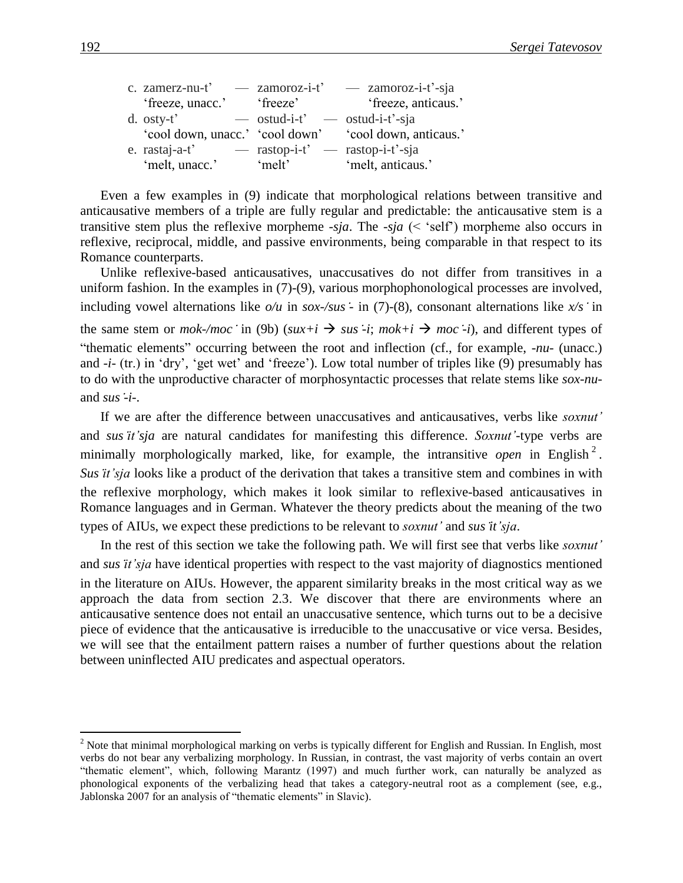| c. zamerz-nu-t' $\qquad -$ zamoroz-i-t' |                                         | $-$ zamoroz-i-t'-sja                                   |
|-----------------------------------------|-----------------------------------------|--------------------------------------------------------|
| 'freeze, unacc.'                        | 'freeze'                                | 'freeze, anticaus.'                                    |
| d. $osty-t$ <sup>2</sup>                | $\sim$ ostud-i-t' $\sim$ ostud-i-t'-sja |                                                        |
|                                         |                                         | 'cool down, unacc.' 'cool down' 'cool down, anticaus.' |
| e. rastaj-a-t'                          | $-$ rastop-i-t' $-$ rastop-i-t'-sja     |                                                        |
| 'melt, unacc.'                          | melt                                    | 'melt, anticaus.'                                      |

Even a few examples in (9) indicate that morphological relations between transitive and anticausative members of a triple are fully regular and predictable: the anticausative stem is a transitive stem plus the reflexive morpheme -*sja*. The -*sja* (< 'self') morpheme also occurs in reflexive, reciprocal, middle, and passive environments, being comparable in that respect to its Romance counterparts.

Unlike reflexive-based anticausatives, unaccusatives do not differ from transitives in a uniform fashion. In the examples in (7)-(9), various morphophonological processes are involved, including vowel alternations like  $o/u$  in  $sox$ -/sus  $\div$  in (7)-(8), consonant alternations like  $x/s \cdot$  in the same stem or *mok-/moc* in (9b) ( $sux+i \rightarrow sus-i$ ;  $mok+i \rightarrow moc-i$ ), and different types of "thematic elements" occurring between the root and inflection (cf., for example, *-nu-* (unacc.) and *-i-* (tr.) in 'dry', 'get wet' and 'freeze'). Low total number of triples like (9) presumably has to do with the unproductive character of morphosyntactic processes that relate stems like *sox-nu*and *sus-i-*.

If we are after the difference between unaccusatives and anticausatives, verbs like *soxnut'* and *susit'sja* are natural candidates for manifesting this difference. *Soxnut'*-type verbs are minimally morphologically marked, like, for example, the intransitive *open* in English<sup>2</sup>. *Susit'sja* looks like a product of the derivation that takes a transitive stem and combines in with the reflexive morphology, which makes it look similar to reflexive-based anticausatives in Romance languages and in German. Whatever the theory predicts about the meaning of the two types of AIUs, we expect these predictions to be relevant to *soxnut'* and *susit'sja*.

In the rest of this section we take the following path. We will first see that verbs like *soxnut'* and *susit'sja* have identical properties with respect to the vast majority of diagnostics mentioned in the literature on AIUs. However, the apparent similarity breaks in the most critical way as we approach the data from section 2.3. We discover that there are environments where an anticausative sentence does not entail an unaccusative sentence, which turns out to be a decisive piece of evidence that the anticausative is irreducible to the unaccusative or vice versa. Besides, we will see that the entailment pattern raises a number of further questions about the relation between uninflected AIU predicates and aspectual operators.

 $2$  Note that minimal morphological marking on verbs is typically different for English and Russian. In English, most verbs do not bear any verbalizing morphology. In Russian, in contrast, the vast majority of verbs contain an overt "thematic element", which, following Marantz (1997) and much further work, can naturally be analyzed as phonological exponents of the verbalizing head that takes a category-neutral root as a complement (see, e.g., Jablonska 2007 for an analysis of "thematic elements" in Slavic).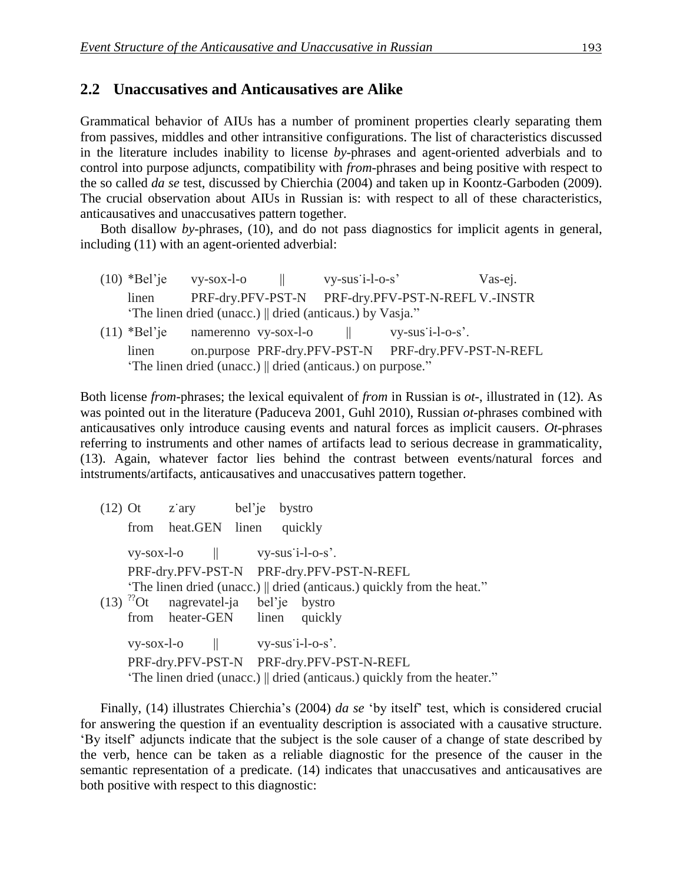#### 2.2 Unaccusatives and Anticausatives are Alike

Grammatical behavior of AIUs has a number of prominent properties clearly separating them from passives, middles and other intransitive configurations. The list of characteristics discussed in the literature includes inability to license *by*-phrases and agent-oriented adverbials and to control into purpose adjuncts, compatibility with *from*-phrases and being positive with respect to the so called *da se* test, discussed by Chierchia (2004) and taken up in Koontz-Garboden (2009). The crucial observation about AIUs in Russian is: with respect to all of these characteristics, anticausatives and unaccusatives pattern together.

Both disallow *by*-phrases, (10), and do not pass diagnostics for implicit agents in general, including (11) with an agent-oriented adverbial:

 $(10)$  \*Bel'je vy-sox-l-o  $\parallel$  vy-sus'i-l-o-s' Vas-ej. linen PRF-dry.PFV-PST-N PRF-dry.PFV-PST-N-REFL V.-INSTR 'The linen dried (unacc.) || dried (anticaus.) by Vasja."  $(11)$  \*Bel'je namerenno vy-sox-l-o  $||$  vy-sus'i-l-o-s'. linen on.purpose PRF-dry.PFV-PST-N PRF-dry.PFV-PST-N-REFL 'The linen dried (unacc.) || dried (anticaus.) on purpose."

Both license *from*-phrases; the lexical equivalent of *from* in Russian is *ot*-, illustrated in (12). As was pointed out in the literature (Paduceva 2001, Guhl 2010), Russian *ot*-phrases combined with anticausatives only introduce causing events and natural forces as implicit causers. *Ot*-phrases referring to instruments and other names of artifacts lead to serious decrease in grammaticality, (13). Again, whatever factor lies behind the contrast between events/natural forces and intstruments/artifacts, anticausatives and unaccusatives pattern together.

|  | $(12)$ Ot z'ary bel'je bystro                       |  |                                                                          |
|--|-----------------------------------------------------|--|--------------------------------------------------------------------------|
|  | from heat.GEN linen                                 |  | quickly                                                                  |
|  | $vy-sox-l-o$ $\parallel$ $vy-sus'i-l-o-s'.$         |  |                                                                          |
|  |                                                     |  | PRF-dry.PFV-PST-N PRF-dry.PFV-PST-N-REFL                                 |
|  |                                                     |  | "The linen dried (unacc.)    dried (anticaus.) quickly from the heat."   |
|  | $(13)$ <sup>??</sup> Ot nagrevatel-ja bel'je bystro |  |                                                                          |
|  | from heater-GEN linen quickly                       |  |                                                                          |
|  | $vy-sox-l-o$ $\parallel$ $vy-sus'i-l-o-s'.$         |  |                                                                          |
|  |                                                     |  | PRF-dry.PFV-PST-N PRF-dry.PFV-PST-N-REFL                                 |
|  |                                                     |  | "The linen dried (unacc.)    dried (anticaus.) quickly from the heater." |

Finally, (14) illustrates Chierchia's (2004) *da se* 'by itself' test, which is considered crucial for answering the question if an eventuality description is associated with a causative structure. 'By itself' adjuncts indicate that the subject is the sole causer of a change of state described by the verb, hence can be taken as a reliable diagnostic for the presence of the causer in the semantic representation of a predicate. (14) indicates that unaccusatives and anticausatives are both positive with respect to this diagnostic: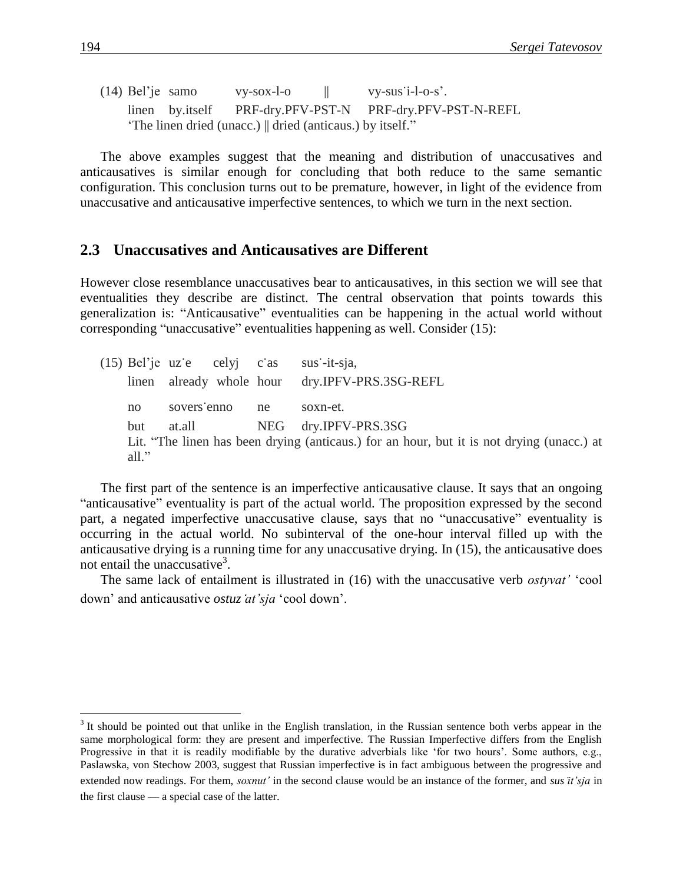(14) Bel'je samo vy-sox-l-o  $||$  vy-sus'i-l-o-s'. linen by.itself PRF-dry.PFV-PST-N PRF-dry.PFV-PST-N-REFL 'The linen dried (unacc.) || dried (anticaus.) by itself."

The above examples suggest that the meaning and distribution of unaccusatives and anticausatives is similar enough for concluding that both reduce to the same semantic configuration. This conclusion turns out to be premature, however, in light of the evidence from unaccusative and anticausative imperfective sentences, to which we turn in the next section.

#### **2.3** Unaccusatives and Anticausatives are Different

However close resemblance unaccusatives bear to anticausatives, in this section we will see that eventualities they describe are distinct. The central observation that points towards this generalization is: "Anticausative" eventualities can be happening in the actual world without corresponding "unaccusative" eventualities happening as well. Consider (15):

 $(15)$  Bel'je uze celyj cas sus-it-sja, linen already whole hour dry.IPFV-PRS.3SG-REFL no sovers'enno ne soxn-et. but at.all NEG dry.IPFV-PRS.3SG Lit. "The linen has been drying (anticaus.) for an hour, but it is not drying (unacc.) at all."

The first part of the sentence is an imperfective anticausative clause. It says that an ongoing "anticausative" eventuality is part of the actual world. The proposition expressed by the second part, a negated imperfective unaccusative clause, says that no "unaccusative" eventuality is occurring in the actual world. No subinterval of the one-hour interval filled up with the anticausative drying is a running time for any unaccusative drying. In (15), the anticausative does not entail the unaccusative<sup>3</sup>.

The same lack of entailment is illustrated in (16) with the unaccusative verb *ostyvat'* 'cool down' and anticausative *ostuzat'sja* 'cool down'.

 $3$  It should be pointed out that unlike in the English translation, in the Russian sentence both verbs appear in the same morphological form: they are present and imperfective. The Russian Imperfective differs from the English Progressive in that it is readily modifiable by the durative adverbials like 'for two hours'. Some authors, e.g., Paslawska, von Stechow 2003, suggest that Russian imperfective is in fact ambiguous between the progressive and extended now readings. For them, *soxnut'* in the second clause would be an instance of the former, and *susit'sja* in the first clause — a special case of the latter.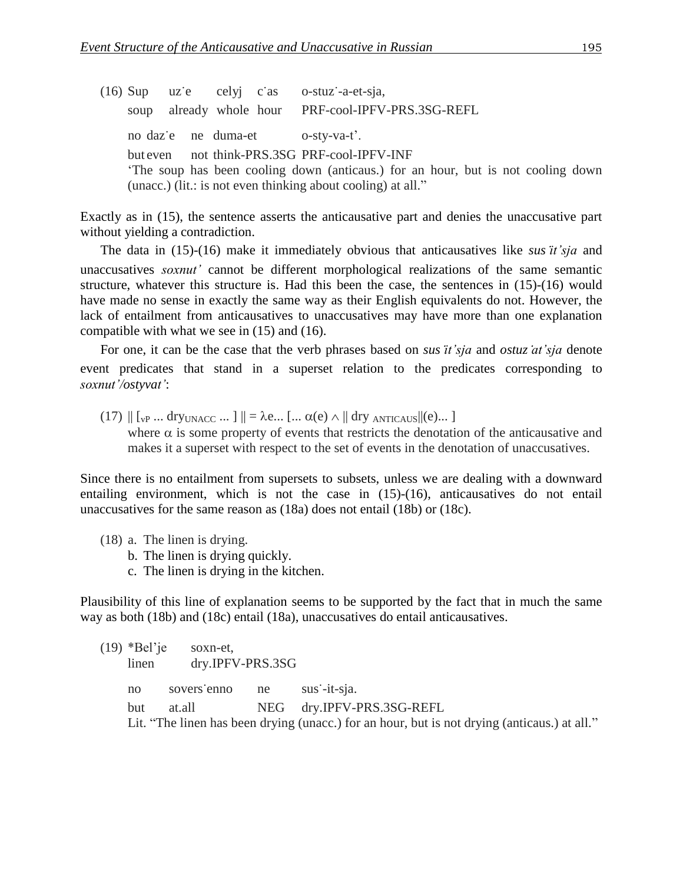$(16)$  Sup uze celyj cas o-stuz-a-et-sja, soup already whole hour PRF-cool-IPFV-PRS.3SG-REFL no daze ne duma-et o-sty-va-t'. but even not think-PRS.3SG PRF-cool-IPFV-INF 'The soup has been cooling down (anticaus.) for an hour, but is not cooling down (unacc.) (lit.: is not even thinking about cooling) at all."

Exactly as in (15), the sentence asserts the anticausative part and denies the unaccusative part without yielding a contradiction.

The data in (15)-(16) make it immediately obvious that anticausatives like *susit'sja* and unaccusatives *soxnut'* cannot be different morphological realizations of the same semantic structure, whatever this structure is. Had this been the case, the sentences in (15)-(16) would have made no sense in exactly the same way as their English equivalents do not. However, the lack of entailment from anticausatives to unaccusatives may have more than one explanation compatible with what we see in (15) and (16).

For one, it can be the case that the verb phrases based on *susit'sja* and *ostuzat'sja* denote event predicates that stand in a superset relation to the predicates corresponding to *soxnut'/ostyvat'*:

 $(17)$   $\| \cdot \|_{V^{\text{P}}}$  ... dry<sub>UNACC</sub> ...  $\| \cdot \| = \lambda e$  ...  $\| \cdot \| \cdot \alpha(e) \wedge \|$  dry ANTICAUS  $\|(e)$  ... ] where  $\alpha$  is some property of events that restricts the denotation of the anticausative and makes it a superset with respect to the set of events in the denotation of unaccusatives.

Since there is no entailment from supersets to subsets, unless we are dealing with a downward entailing environment, which is not the case in (15)-(16), anticausatives do not entail unaccusatives for the same reason as (18a) does not entail (18b) or (18c).

- (18) a. The linen is drying.
	- b. The linen is drying quickly.
	- c. The linen is drying in the kitchen.

Plausibility of this line of explanation seems to be supported by the fact that in much the same way as both (18b) and (18c) entail (18a), unaccusatives do entail anticausatives.

(19) \*Bel'je soxn-et, linen dry.IPFV-PRS.3SG no sovers'enno ne sus'-it-sja. but at.all NEG dry.IPFV-PRS.3SG-REFL Lit. "The linen has been drying (unacc.) for an hour, but is not drying (anticaus.) at all."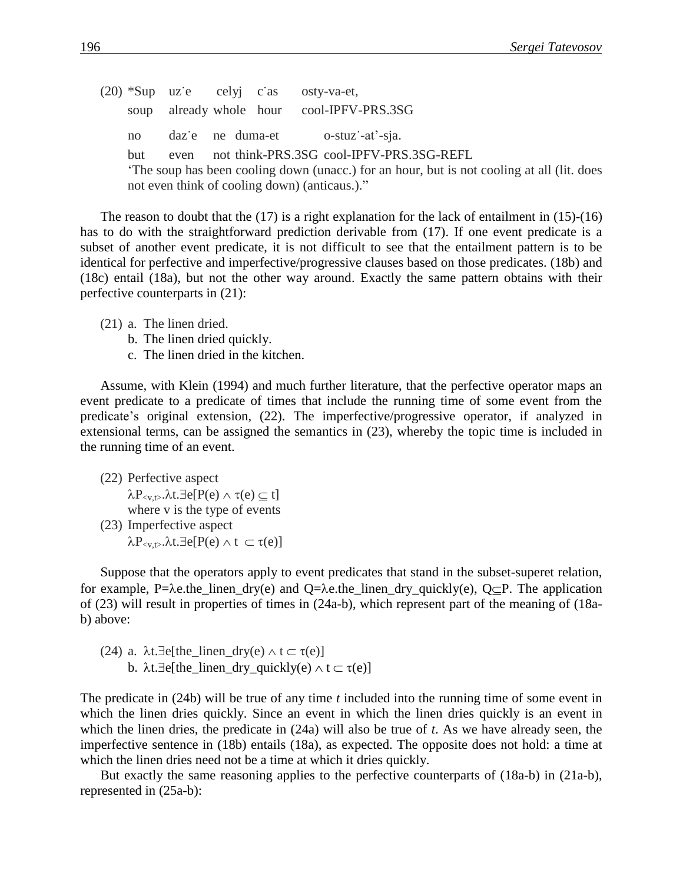$(20)$  \*Sup uze celyj cas osty-va-et, soup already whole hour cool-IPFV-PRS.3SG no daze ne duma-et o-stuz-at'-sja. but even not think-PRS.3SG cool-IPFV-PRS.3SG-REFL 'The soup has been cooling down (unacc.) for an hour, but is not cooling at all (lit. does not even think of cooling down) (anticaus.)."

The reason to doubt that the  $(17)$  is a right explanation for the lack of entailment in  $(15)-(16)$ has to do with the straightforward prediction derivable from (17). If one event predicate is a subset of another event predicate, it is not difficult to see that the entailment pattern is to be identical for perfective and imperfective/progressive clauses based on those predicates. (18b) and (18c) entail (18a), but not the other way around. Exactly the same pattern obtains with their perfective counterparts in (21):

- (21) a. The linen dried.
	- b. The linen dried quickly.
	- c. The linen dried in the kitchen.

Assume, with Klein (1994) and much further literature, that the perfective operator maps an event predicate to a predicate of times that include the running time of some event from the predicate's original extension, (22). The imperfective/progressive operator, if analyzed in extensional terms, can be assigned the semantics in (23), whereby the topic time is included in the running time of an event.

(22) Perfective aspect  $\lambda P_{\leq v,t>}$ . $\lambda t. \exists e[P(e) \wedge \tau(e) \subseteq t]$ where v is the type of events (23) Imperfective aspect

 $\lambda P_{\leq v, t>} \lambda t. \exists e[P(e) \wedge t \subset \tau(e)]$ 

Suppose that the operators apply to event predicates that stand in the subset-superet relation, for example, P= $\lambda$ e.the\_linen\_dry(e) and Q= $\lambda$ e.the\_linen\_dry\_quickly(e), Q $\subseteq$ P. The application of (23) will result in properties of times in (24a-b), which represent part of the meaning of (18ab) above:

(24) a.  $\lambda t.\exists e[the\_linear_dry(e) \wedge t \subset \tau(e)]$ b.  $\lambda t.\exists e[the\_linear\_dry\_quickly(e) \wedge t \subset \tau(e)]$ 

The predicate in (24b) will be true of any time *t* included into the running time of some event in which the linen dries quickly. Since an event in which the linen dries quickly is an event in which the linen dries, the predicate in (24a) will also be true of *t*. As we have already seen, the imperfective sentence in (18b) entails (18a), as expected. The opposite does not hold: a time at which the linen dries need not be a time at which it dries quickly.

But exactly the same reasoning applies to the perfective counterparts of (18a-b) in (21a-b), represented in (25a-b):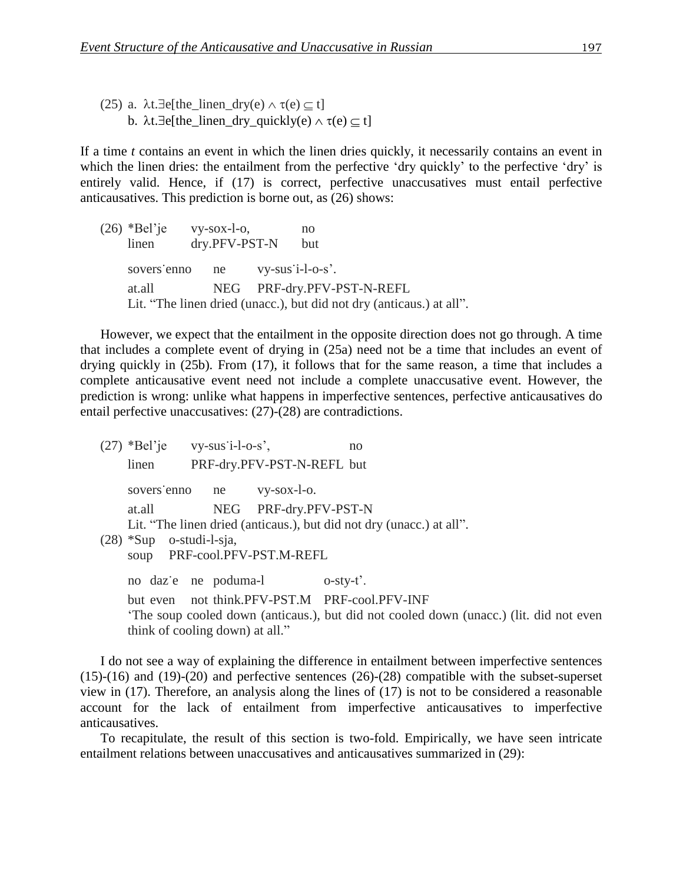(25) a.  $\lambda t.\exists e[the\_linear_dry(e) \wedge \tau(e) \subseteq t]$ b.  $\lambda t. \exists e[the\_linear_dry_quickly(e) \wedge \tau(e) \subseteq t]$ 

If a time *t* contains an event in which the linen dries quickly, it necessarily contains an event in which the linen dries: the entailment from the perfective 'dry quickly' to the perfective 'dry' is entirely valid. Hence, if (17) is correct, perfective unaccusatives must entail perfective anticausatives. This prediction is borne out, as (26) shows:

 $(26)$  \*Bel'je vy-sox-l-o, no linen dry.PFV-PST-N but sovers'enno ne vy-sus'i-l-o-s'. at.all NEG PRF-dry.PFV-PST-N-REFL Lit. "The linen dried (unacc.), but did not dry (anticaus.) at all".

However, we expect that the entailment in the opposite direction does not go through. A time that includes a complete event of drying in (25a) need not be a time that includes an event of drying quickly in (25b). From (17), it follows that for the same reason, a time that includes a complete anticausative event need not include a complete unaccusative event. However, the prediction is wrong: unlike what happens in imperfective sentences, perfective anticausatives do entail perfective unaccusatives: (27)-(28) are contradictions.

 $(27)$  \*Bel'je vy-sus'i-l-o-s', no linen PRF-dry.PFV-PST-N-REFL but sovers'enno ne vy-sox-l-o. at.all NEG PRF-dry.PFV-PST-N Lit. "The linen dried (anticaus.), but did not dry (unacc.) at all". (28) \*Sup o-studi-l-sja, soup PRF-cool.PFV-PST.M-REFL no daze ne poduma-l o-sty-t'. but even not think.PFV-PST.M PRF-cool.PFV-INF 'The soup cooled down (anticaus.), but did not cooled down (unacc.) (lit. did not even think of cooling down) at all."

I do not see a way of explaining the difference in entailment between imperfective sentences (15)-(16) and (19)-(20) and perfective sentences (26)-(28) compatible with the subset-superset view in (17). Therefore, an analysis along the lines of (17) is not to be considered a reasonable account for the lack of entailment from imperfective anticausatives to imperfective anticausatives.

To recapitulate, the result of this section is two-fold. Empirically, we have seen intricate entailment relations between unaccusatives and anticausatives summarized in (29):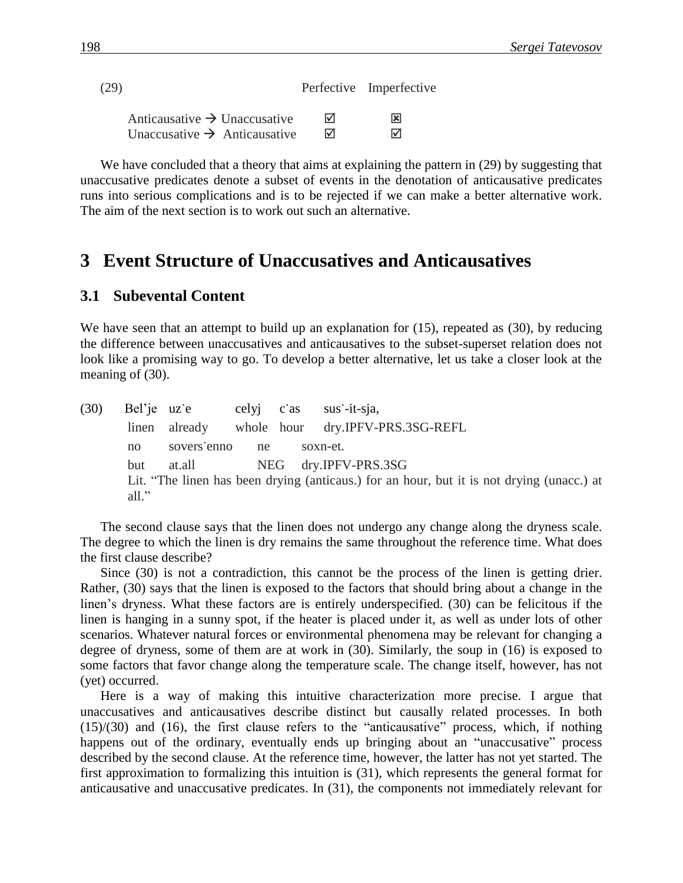| (29)                                     |   | Perfective Imperfective |
|------------------------------------------|---|-------------------------|
| Anticausative $\rightarrow$ Unaccusative | ⊠ | ⊠                       |
| Unaccusative $\rightarrow$ Anticausative | 罓 | ☑                       |

We have concluded that a theory that aims at explaining the pattern in (29) by suggesting that unaccusative predicates denote a subset of events in the denotation of anticausative predicates runs into serious complications and is to be rejected if we can make a better alternative work. The aim of the next section is to work out such an alternative.

## **3**xx**Event Structure of Unaccusatives and Anticausatives**

#### **3.1 Subevental Content**

We have seen that an attempt to build up an explanation for  $(15)$ , repeated as  $(30)$ , by reducing the difference between unaccusatives and anticausatives to the subset-superset relation does not look like a promising way to go. To develop a better alternative, let us take a closer look at the meaning of (30).

(30) Bel'je uze celyj cas sus-it-sja, linen already whole hour dry.IPFV-PRS.3SG-REFL no sovers'enno ne soxn-et. but at.all NEG dry.IPFV-PRS.3SG Lit. "The linen has been drying (anticaus.) for an hour, but it is not drying (unacc.) at all."

The second clause says that the linen does not undergo any change along the dryness scale. The degree to which the linen is dry remains the same throughout the reference time. What does the first clause describe?

Since (30) is not a contradiction, this cannot be the process of the linen is getting drier. Rather, (30) says that the linen is exposed to the factors that should bring about a change in the linen's dryness. What these factors are is entirely underspecified. (30) can be felicitous if the linen is hanging in a sunny spot, if the heater is placed under it, as well as under lots of other scenarios. Whatever natural forces or environmental phenomena may be relevant for changing a degree of dryness, some of them are at work in (30). Similarly, the soup in (16) is exposed to some factors that favor change along the temperature scale. The change itself, however, has not (yet) occurred.

Here is a way of making this intuitive characterization more precise. I argue that unaccusatives and anticausatives describe distinct but causally related processes. In both (15)/(30) and (16), the first clause refers to the "anticausative" process, which, if nothing happens out of the ordinary, eventually ends up bringing about an "unaccusative" process described by the second clause. At the reference time, however, the latter has not yet started. The first approximation to formalizing this intuition is (31), which represents the general format for anticausative and unaccusative predicates. In (31), the components not immediately relevant for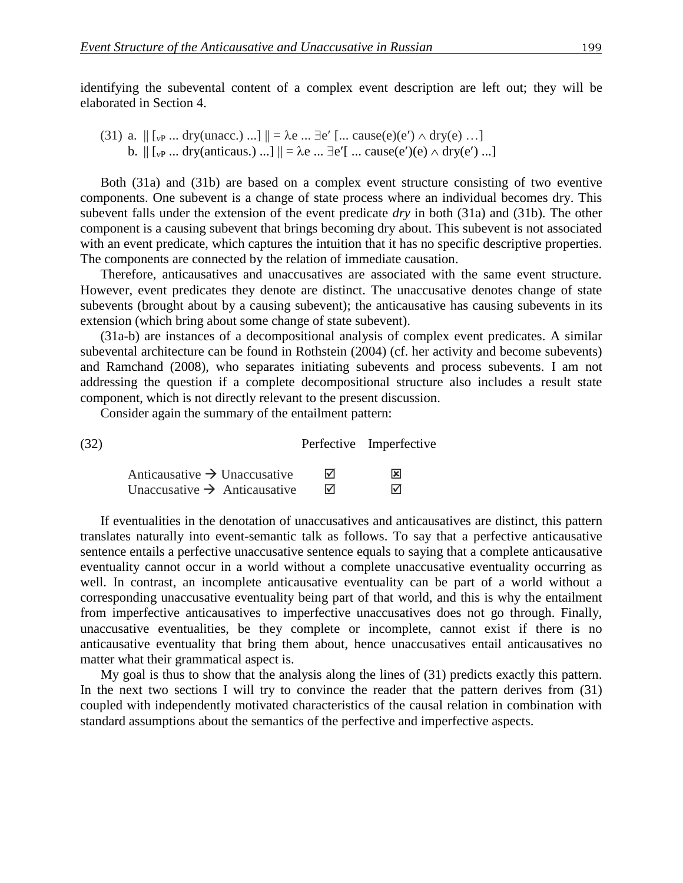(31) a. 
$$
||[v_P \dots dry(unacc. \dots]]|| = \lambda e \dots \exists e' [...
$$
 cause(e)(e')  $\land dry(e) \dots]$   
b.  $||[v_P \dots dry(anticaus. \dots]]|| = \lambda e \dots \exists e'[...$  cause(e')(e)  $\land dry(e')$  ...]

Both (31a) and (31b) are based on a complex event structure consisting of two eventive components. One subevent is a change of state process where an individual becomes dry. This subevent falls under the extension of the event predicate *dry* in both (31a) and (31b). The other component is a causing subevent that brings becoming dry about. This subevent is not associated with an event predicate, which captures the intuition that it has no specific descriptive properties. The components are connected by the relation of immediate causation.

Therefore, anticausatives and unaccusatives are associated with the same event structure. However, event predicates they denote are distinct. The unaccusative denotes change of state subevents (brought about by a causing subevent); the anticausative has causing subevents in its extension (which bring about some change of state subevent).

(31a-b) are instances of a decompositional analysis of complex event predicates. A similar subevental architecture can be found in Rothstein (2004) (cf. her activity and become subevents) and Ramchand (2008), who separates initiating subevents and process subevents. I am not addressing the question if a complete decompositional structure also includes a result state component, which is not directly relevant to the present discussion.

Consider again the summary of the entailment pattern:

(32) Perfective Imperfective

| Anticausative $\rightarrow$ Unaccusative | ⊠ | ⊠ |
|------------------------------------------|---|---|
| Unaccusative $\rightarrow$ Anticausative | ⊠ | ⊠ |

If eventualities in the denotation of unaccusatives and anticausatives are distinct, this pattern translates naturally into event-semantic talk as follows. To say that a perfective anticausative sentence entails a perfective unaccusative sentence equals to saying that a complete anticausative eventuality cannot occur in a world without a complete unaccusative eventuality occurring as well. In contrast, an incomplete anticausative eventuality can be part of a world without a corresponding unaccusative eventuality being part of that world, and this is why the entailment from imperfective anticausatives to imperfective unaccusatives does not go through. Finally, unaccusative eventualities, be they complete or incomplete, cannot exist if there is no anticausative eventuality that bring them about, hence unaccusatives entail anticausatives no matter what their grammatical aspect is.

My goal is thus to show that the analysis along the lines of (31) predicts exactly this pattern. In the next two sections I will try to convince the reader that the pattern derives from  $(31)$ coupled with independently motivated characteristics of the causal relation in combination with standard assumptions about the semantics of the perfective and imperfective aspects.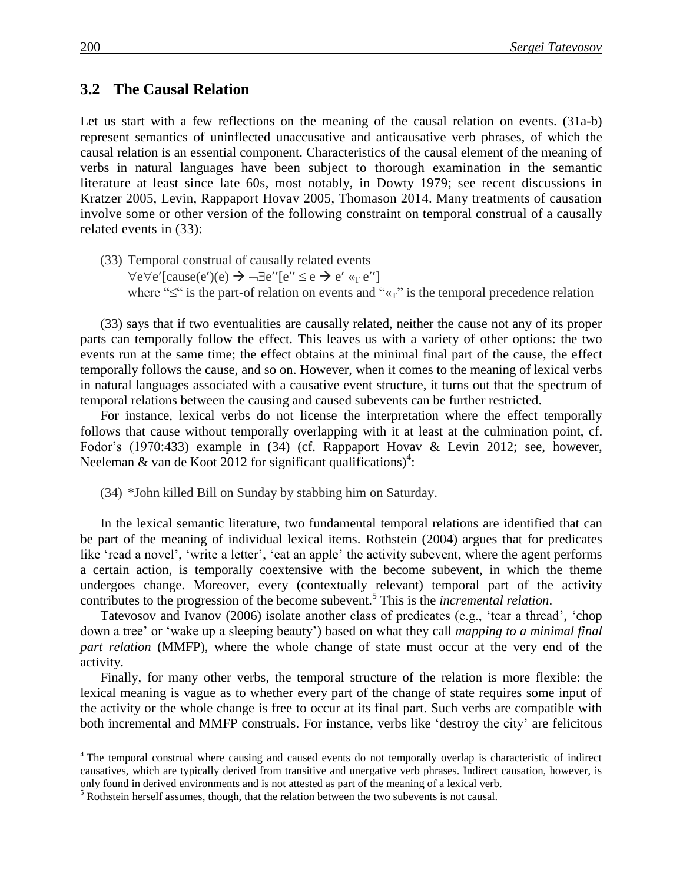#### **3.2 The Causal Relation**

Let us start with a few reflections on the meaning of the causal relation on events. (31a-b) represent semantics of uninflected unaccusative and anticausative verb phrases, of which the causal relation is an essential component. Characteristics of the causal element of the meaning of verbs in natural languages have been subject to thorough examination in the semantic literature at least since late 60s, most notably, in Dowty 1979; see recent discussions in Kratzer 2005, Levin, Rappaport Hovav 2005, Thomason 2014. Many treatments of causation involve some or other version of the following constraint on temporal construal of a causally related events in (33):

(33) Temporal construal of causally related events  $\forall e \forall e'$ [cause(e')(e)  $\rightarrow \neg \exists e''$ [e''  $\le e \rightarrow e' \ll_{\text{T}} e''$ ] where " $\leq$ " is the part-of relation on events and " $\ll_{\tau}$ " is the temporal precedence relation

(33) says that if two eventualities are causally related, neither the cause not any of its proper parts can temporally follow the effect. This leaves us with a variety of other options: the two events run at the same time; the effect obtains at the minimal final part of the cause, the effect temporally follows the cause, and so on. However, when it comes to the meaning of lexical verbs in natural languages associated with a causative event structure, it turns out that the spectrum of temporal relations between the causing and caused subevents can be further restricted.

For instance, lexical verbs do not license the interpretation where the effect temporally follows that cause without temporally overlapping with it at least at the culmination point, cf. Fodor's (1970:433) example in (34) (cf. Rappaport Hovav & Levin 2012; see, however, Neeleman & van de Koot 2012 for significant qualifications)<sup>4</sup>:

(34) \*John killed Bill on Sunday by stabbing him on Saturday.

In the lexical semantic literature, two fundamental temporal relations are identified that can be part of the meaning of individual lexical items. Rothstein (2004) argues that for predicates like 'read a novel', 'write a letter', 'eat an apple' the activity subevent, where the agent performs a certain action, is temporally coextensive with the become subevent, in which the theme undergoes change. Moreover, every (contextually relevant) temporal part of the activity contributes to the progression of the become subevent.<sup>5</sup> This is the *incremental relation*.

Tatevosov and Ivanov (2006) isolate another class of predicates (e.g., 'tear a thread', 'chop down a tree' or 'wake up a sleeping beauty') based on what they call *mapping to a minimal final part relation* (MMFP), where the whole change of state must occur at the very end of the activity.

Finally, for many other verbs, the temporal structure of the relation is more flexible: the lexical meaning is vague as to whether every part of the change of state requires some input of the activity or the whole change is free to occur at its final part. Such verbs are compatible with both incremental and MMFP construals. For instance, verbs like 'destroy the city' are felicitous

<sup>&</sup>lt;sup>4</sup> The temporal construal where causing and caused events do not temporally overlap is characteristic of indirect causatives, which are typically derived from transitive and unergative verb phrases. Indirect causation, however, is only found in derived environments and is not attested as part of the meaning of a lexical verb.

 $<sup>5</sup>$  Rothstein herself assumes, though, that the relation between the two subevents is not causal.</sup>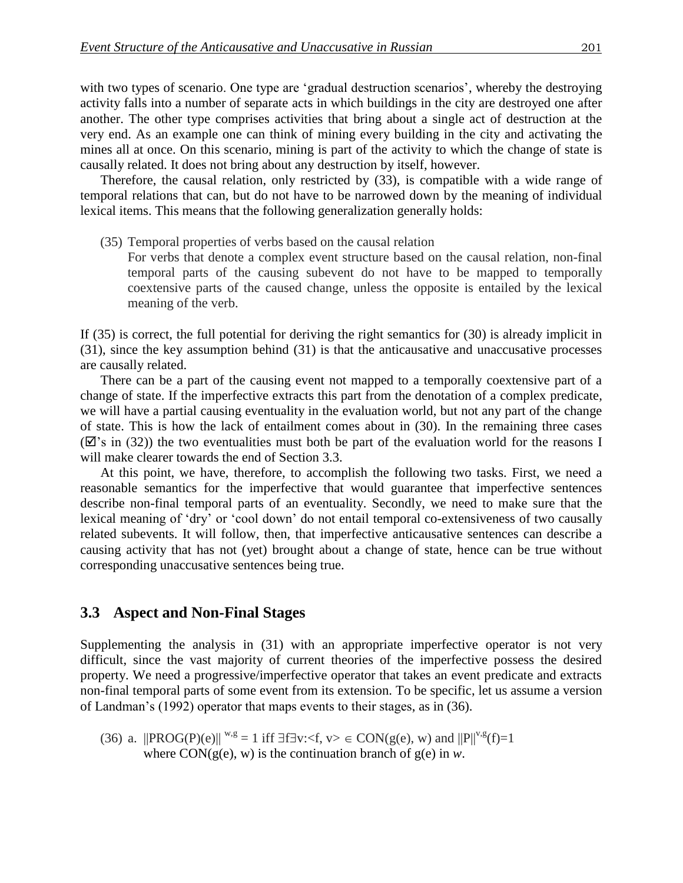with two types of scenario. One type are 'gradual destruction scenarios', whereby the destroying activity falls into a number of separate acts in which buildings in the city are destroyed one after another. The other type comprises activities that bring about a single act of destruction at the very end. As an example one can think of mining every building in the city and activating the mines all at once. On this scenario, mining is part of the activity to which the change of state is causally related. It does not bring about any destruction by itself, however.

Therefore, the causal relation, only restricted by (33), is compatible with a wide range of temporal relations that can, but do not have to be narrowed down by the meaning of individual lexical items. This means that the following generalization generally holds:

- (35) Temporal properties of verbs based on the causal relation
	- For verbs that denote a complex event structure based on the causal relation, non-final temporal parts of the causing subevent do not have to be mapped to temporally coextensive parts of the caused change, unless the opposite is entailed by the lexical meaning of the verb.

If (35) is correct, the full potential for deriving the right semantics for (30) is already implicit in (31), since the key assumption behind (31) is that the anticausative and unaccusative processes are causally related.

There can be a part of the causing event not mapped to a temporally coextensive part of a change of state. If the imperfective extracts this part from the denotation of a complex predicate, we will have a partial causing eventuality in the evaluation world, but not any part of the change of state. This is how the lack of entailment comes about in (30). In the remaining three cases  $(\mathbb{Z})$  in (32)) the two eventualities must both be part of the evaluation world for the reasons I will make clearer towards the end of Section 3.3.

At this point, we have, therefore, to accomplish the following two tasks. First, we need a reasonable semantics for the imperfective that would guarantee that imperfective sentences describe non-final temporal parts of an eventuality. Secondly, we need to make sure that the lexical meaning of 'dry' or 'cool down' do not entail temporal co-extensiveness of two causally related subevents. It will follow, then, that imperfective anticausative sentences can describe a causing activity that has not (yet) brought about a change of state, hence can be true without corresponding unaccusative sentences being true.

### **3.3** Aspect and Non-Final Stages

Supplementing the analysis in (31) with an appropriate imperfective operator is not very difficult, since the vast majority of current theories of the imperfective possess the desired property. We need a progressive/imperfective operator that takes an event predicate and extracts non-final temporal parts of some event from its extension. To be specific, let us assume a version of Landman's (1992) operator that maps events to their stages, as in (36).

(36) a.  $||{\rm PROG}(P)(e)||^{w,g} = 1$  iff  $\exists f \exists v: \langle f, v \rangle \in CON(g(e), w)$  and  $||P||^{v,g}(f)=1$ where  $CON(g(e), w)$  is the continuation branch of  $g(e)$  in *w*.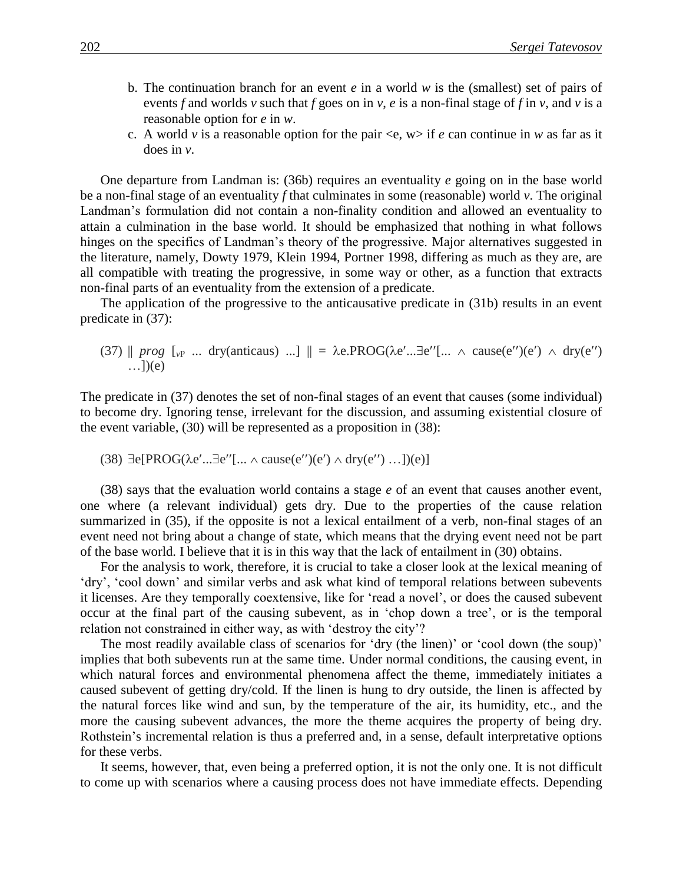- b. The continuation branch for an event *e* in a world *w* is the (smallest) set of pairs of events *f* and worlds *v* such that *f* goes on in *v*, *e* is a non-final stage of *f* in *v*, and *v* is a reasonable option for *e* in *w*.
- c. A world *v* is a reasonable option for the pair  $\langle e, w \rangle$  if *e* can continue in *w* as far as it does in *v*.

One departure from Landman is: (36b) requires an eventuality *e* going on in the base world be a non-final stage of an eventuality *f* that culminates in some (reasonable) world *v*. The original Landman's formulation did not contain a non-finality condition and allowed an eventuality to attain a culmination in the base world. It should be emphasized that nothing in what follows hinges on the specifics of Landman's theory of the progressive. Major alternatives suggested in the literature, namely, Dowty 1979, Klein 1994, Portner 1998, differing as much as they are, are all compatible with treating the progressive, in some way or other, as a function that extracts non-final parts of an eventuality from the extension of a predicate.

The application of the progressive to the anticausative predicate in (31b) results in an event predicate in (37):

(37)  $\parallel$  *prog*  $\left[\begin{array}{ccc} 0 & \ldots & 0 \\ 0 & \ldots & 0 \end{array}\right]$   $\parallel$  =  $\lambda$ e.PROG( $\lambda$ e'...  $\exists$ e'' $\left[\begin{array}{ccc} \ldots & \land & \text{cause}(e'') (e') \end{array}\right]$   $\land$  dry(e'')  $\ldots$ ])(e)

The predicate in (37) denotes the set of non-final stages of an event that causes (some individual) to become dry. Ignoring tense, irrelevant for the discussion, and assuming existential closure of the event variable, (30) will be represented as a proposition in (38):

(38)  $\exists e[PROG(\lambda e' \dots \exists e''] \dots \land cause(e'')(e') \land dry(e'') \dots])(e)]$ 

(38) says that the evaluation world contains a stage *e* of an event that causes another event, one where (a relevant individual) gets dry. Due to the properties of the cause relation summarized in (35), if the opposite is not a lexical entailment of a verb, non-final stages of an event need not bring about a change of state, which means that the drying event need not be part of the base world. I believe that it is in this way that the lack of entailment in (30) obtains.

For the analysis to work, therefore, it is crucial to take a closer look at the lexical meaning of 'dry', 'cool down' and similar verbs and ask what kind of temporal relations between subevents it licenses. Are they temporally coextensive, like for 'read a novel', or does the caused subevent occur at the final part of the causing subevent, as in 'chop down a tree', or is the temporal relation not constrained in either way, as with 'destroy the city'?

The most readily available class of scenarios for 'dry (the linen)' or 'cool down (the soup)' implies that both subevents run at the same time. Under normal conditions, the causing event, in which natural forces and environmental phenomena affect the theme, immediately initiates a caused subevent of getting dry/cold. If the linen is hung to dry outside, the linen is affected by the natural forces like wind and sun, by the temperature of the air, its humidity, etc., and the more the causing subevent advances, the more the theme acquires the property of being dry. Rothstein's incremental relation is thus a preferred and, in a sense, default interpretative options for these verbs.

It seems, however, that, even being a preferred option, it is not the only one. It is not difficult to come up with scenarios where a causing process does not have immediate effects. Depending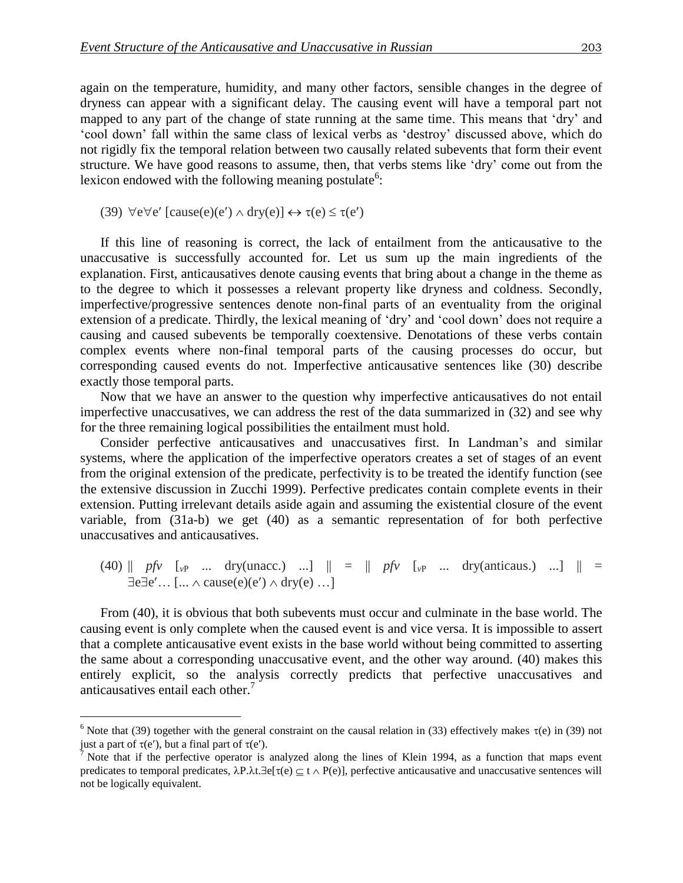again on the temperature, humidity, and many other factors, sensible changes in the degree of dryness can appear with a significant delay. The causing event will have a temporal part not mapped to any part of the change of state running at the same time. This means that 'dry' and 'cool down' fall within the same class of lexical verbs as 'destroy' discussed above, which do not rigidly fix the temporal relation between two causally related subevents that form their event structure. We have good reasons to assume, then, that verbs stems like 'dry' come out from the lexicon endowed with the following meaning postulate<sup>6</sup>:

(39)  $\forall e \forall e'$  [cause(e)(e')  $\land$  dry(e)]  $\leftrightarrow \tau(e) \leq \tau(e')$ 

 $\overline{a}$ 

If this line of reasoning is correct, the lack of entailment from the anticausative to the unaccusative is successfully accounted for. Let us sum up the main ingredients of the explanation. First, anticausatives denote causing events that bring about a change in the theme as to the degree to which it possesses a relevant property like dryness and coldness. Secondly, imperfective/progressive sentences denote non-final parts of an eventuality from the original extension of a predicate. Thirdly, the lexical meaning of 'dry' and 'cool down' does not require a causing and caused subevents be temporally coextensive. Denotations of these verbs contain complex events where non-final temporal parts of the causing processes do occur, but corresponding caused events do not. Imperfective anticausative sentences like (30) describe exactly those temporal parts.

Now that we have an answer to the question why imperfective anticausatives do not entail imperfective unaccusatives, we can address the rest of the data summarized in (32) and see why for the three remaining logical possibilities the entailment must hold.

Consider perfective anticausatives and unaccusatives first. In Landman's and similar systems, where the application of the imperfective operators creates a set of stages of an event from the original extension of the predicate, perfectivity is to be treated the identify function (see the extensive discussion in Zucchi 1999). Perfective predicates contain complete events in their extension. Putting irrelevant details aside again and assuming the existential closure of the event variable, from (31a-b) we get (40) as a semantic representation of for both perfective unaccusatives and anticausatives.

(40) 
$$
||
$$
 *pfv* [ $_{vP}$  ... *dry(unacc.)* ...]  $|| = ||$  *pfv* [ $_{vP}$  ... *dry(anticaus.)* ...]  $|| = \exists e \exists e' ... [... \land cause(e)(e') \land dry(e) ...]$ 

From (40), it is obvious that both subevents must occur and culminate in the base world. The causing event is only complete when the caused event is and vice versa. It is impossible to assert that a complete anticausative event exists in the base world without being committed to asserting the same about a corresponding unaccusative event, and the other way around. (40) makes this entirely explicit, so the analysis correctly predicts that perfective unaccusatives and anticausatives entail each other.<sup>7</sup>

<sup>&</sup>lt;sup>6</sup> Note that (39) together with the general constraint on the causal relation in (33) effectively makes  $\tau$ (e) in (39) not just a part of  $\tau(e')$ , but a final part of  $\tau(e')$ .

<sup>&</sup>lt;sup>7</sup> Note that if the perfective operator is analyzed along the lines of Klein 1994, as a function that maps event predicates to temporal predicates,  $\lambda P.\lambda t.\exists e[\tau(e) \subseteq t \land P(e)]$ , perfective anticausative and unaccusative sentences will not be logically equivalent.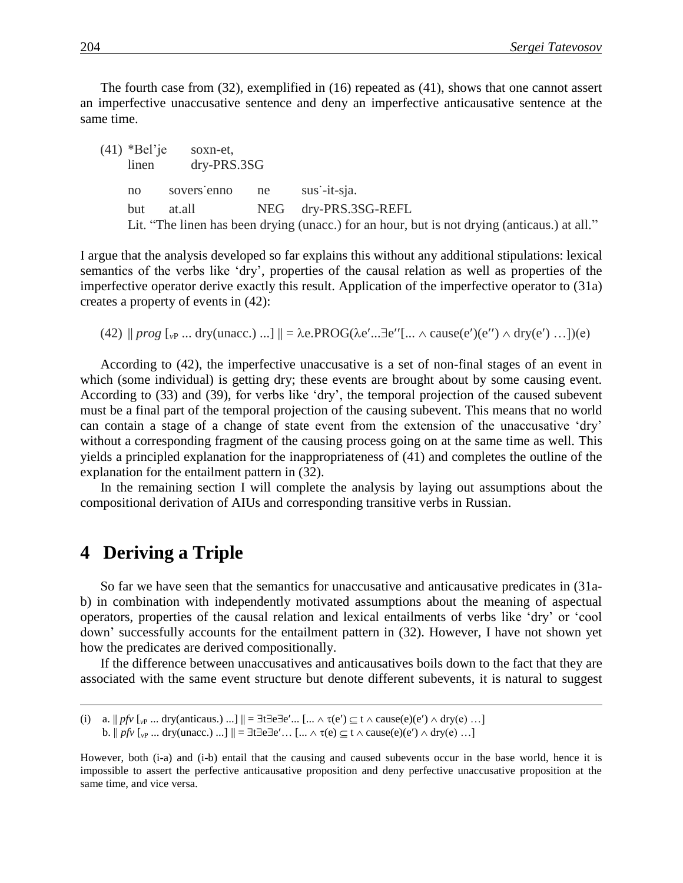The fourth case from (32), exemplified in (16) repeated as (41), shows that one cannot assert an imperfective unaccusative sentence and deny an imperfective anticausative sentence at the same time.

| $(41)$ *Bel'je<br>soxn-et.<br>$dry-PRS.3SG$<br>linen |                             |                                                                                              |
|------------------------------------------------------|-----------------------------|----------------------------------------------------------------------------------------------|
| no                                                   | sovers'enno ne sus'-it-sja. |                                                                                              |
| but                                                  |                             | at.all NEG dry-PRS.3SG-REFL                                                                  |
|                                                      |                             | Lit. "The linen has been drying (unacc.) for an hour, but is not drying (anticaus.) at all." |

I argue that the analysis developed so far explains this without any additional stipulations: lexical semantics of the verbs like 'dry', properties of the causal relation as well as properties of the imperfective operator derive exactly this result. Application of the imperfective operator to (31a) creates a property of events in (42):

(42)  $\| prog\|_{\mathcal{V}}$  ... dry(unacc.) ...]  $\| = \lambda e.PROG(\lambda e' ... \exists e''[... \land cause(e')(e'') \land dry(e') ...])(e)$ 

According to (42), the imperfective unaccusative is a set of non-final stages of an event in which (some individual) is getting dry; these events are brought about by some causing event. According to (33) and (39), for verbs like 'dry', the temporal projection of the caused subevent must be a final part of the temporal projection of the causing subevent. This means that no world can contain a stage of a change of state event from the extension of the unaccusative 'dry' without a corresponding fragment of the causing process going on at the same time as well. This yields a principled explanation for the inappropriateness of (41) and completes the outline of the explanation for the entailment pattern in (32).

In the remaining section I will complete the analysis by laying out assumptions about the compositional derivation of AIUs and corresponding transitive verbs in Russian.

## **4** Deriving a Triple

 $\overline{a}$ 

So far we have seen that the semantics for unaccusative and anticausative predicates in (31ab) in combination with independently motivated assumptions about the meaning of aspectual operators, properties of the causal relation and lexical entailments of verbs like 'dry' or 'cool down' successfully accounts for the entailment pattern in (32). However, I have not shown yet how the predicates are derived compositionally.

If the difference between unaccusatives and anticausatives boils down to the fact that they are associated with the same event structure but denote different subevents, it is natural to suggest

<sup>(</sup>i) a.  $||p f v||_v$ P ... dry(anticaus.) ...]  $|| = \exists t \exists e \exists e' ... [\dots \land \tau(e') \subseteq t \land \text{cause}(e)(e') \land \text{dry}(e) \dots]$ b.  $||p f v||_{v}$  ... dry(unacc.) ...]  $|| = \exists t \exists e \exists e' ... [\dots \land \tau(e) \subseteq t \land \text{cause}(e)(e') \land \text{dry}(e) \dots]$ 

However, both (i-a) and (i-b) entail that the causing and caused subevents occur in the base world, hence it is impossible to assert the perfective anticausative proposition and deny perfective unaccusative proposition at the same time, and vice versa.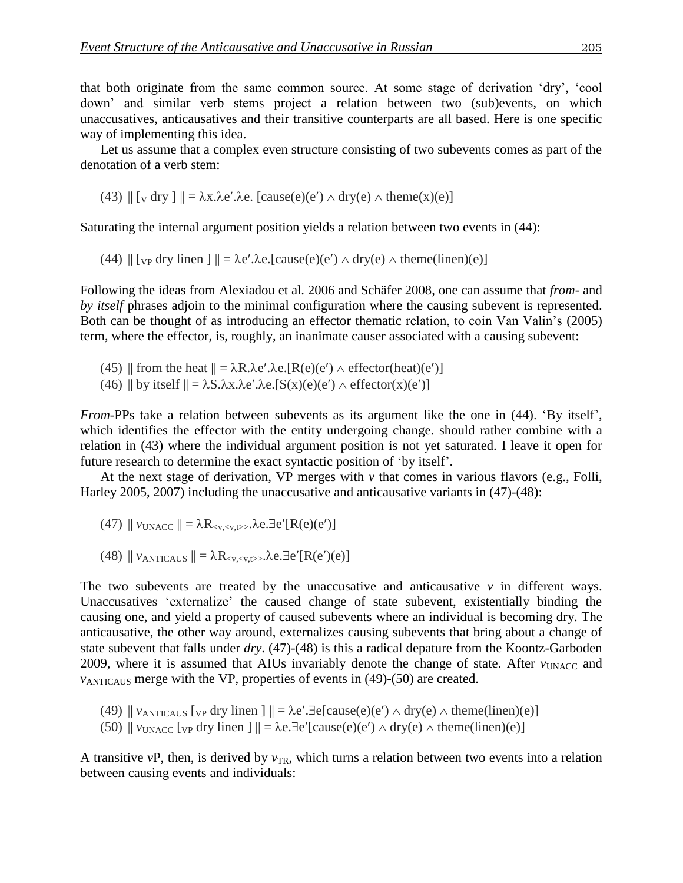that both originate from the same common source. At some stage of derivation 'dry', 'cool down' and similar verb stems project a relation between two (sub)events, on which unaccusatives, anticausatives and their transitive counterparts are all based. Here is one specific way of implementing this idea.

Let us assume that a complex even structure consisting of two subevents comes as part of the denotation of a verb stem:

(43) 
$$
|| [v \, dry ] || = \lambda x . \lambda e' . \lambda e
$$
. [cause(e)(e')  $\wedge$  dry(e)  $\wedge$  theme(x)(e)]

Saturating the internal argument position yields a relation between two events in (44):

(44)  $\|$  [<sub>VP</sub> dry linen ]  $\| = \lambda e'.\lambda e.[\text{cause}(e)(e') \wedge \text{dry}(e) \wedge \text{them}(linen)(e)]$ 

Following the ideas from Alexiadou et al. 2006 and Schäfer 2008, one can assume that *from*- and *by itself* phrases adjoin to the minimal configuration where the causing subevent is represented. Both can be thought of as introducing an effector thematic relation, to coin Van Valin's (2005) term, where the effector, is, roughly, an inanimate causer associated with a causing subevent:

- (45) || from the heat  $|| = \lambda R \cdot \lambda e' \cdot \lambda e$ .[R(e)(e')  $\wedge$  effector(heat)(e')]
- (46) || by itself  $|| = \lambda S.\lambda x.\lambda e'.\lambda e.[S(x)(e)(e') \wedge effector(x)(e')]$

*From*-PPs take a relation between subevents as its argument like the one in (44). 'By itself', which identifies the effector with the entity undergoing change. should rather combine with a relation in (43) where the individual argument position is not yet saturated. I leave it open for future research to determine the exact syntactic position of 'by itself'.

At the next stage of derivation, VP merges with *v* that comes in various flavors (e.g., Folli, Harley 2005, 2007) including the unaccusative and anticausative variants in (47)-(48):

- (47)  $\|v_{\text{UNACC}}\| = \lambda R_{\leq v \leq v}$ .  $\lambda e \cdot \exists e' [R(e)(e')]$
- (48)  $\|v_{\text{ANTICALS}}\| = \lambda R_{\langle v, \langle v, t \rangle} \lambda e \cdot \exists e'[R(e')(e)]$

The two subevents are treated by the unaccusative and anticausative  $\nu$  in different ways. Unaccusatives 'externalize' the caused change of state subevent, existentially binding the causing one, and yield a property of caused subevents where an individual is becoming dry. The anticausative, the other way around, externalizes causing subevents that bring about a change of state subevent that falls under *dry*. (47)-(48) is this a radical depature from the Koontz-Garboden 2009, where it is assumed that AIUs invariably denote the change of state. After *v*<sub>UNACC</sub> and *v*ANTICAUS merge with the VP, properties of events in (49)-(50) are created.

(49)  $\|v_{\text{ANTICAUS}}\|_{VP}$  dry linen  $\| \cdot \| = \lambda e'.\exists e$ [cause(e)(e')  $\wedge$  dry(e)  $\wedge$  theme(linen)(e)]

(50)  $\|v_{\text{UNACC}}\|$  *v*<sub>UNACC</sub> [ $\vee$  p dry linen ]  $\| = \lambda e \cdot \exists e'$  [cause(e)(e')  $\wedge$  dry(e)  $\wedge$  theme(linen)(e)]

A transitive *vP*, then, is derived by  $v_{TR}$ , which turns a relation between two events into a relation between causing events and individuals: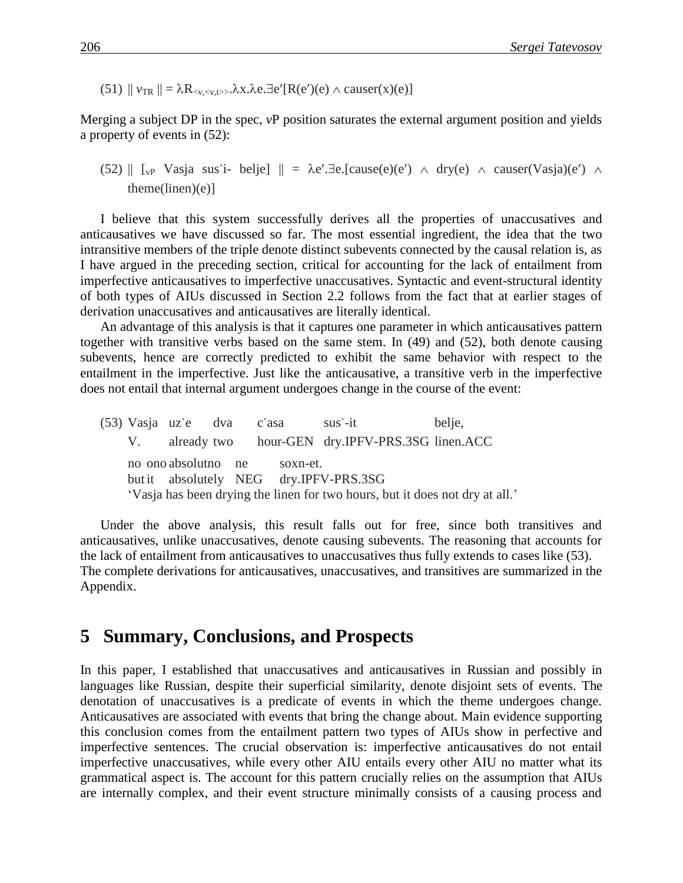(51)  $\|v_{TR}\| = \lambda R_{\leq x \leq \langle x, t \rangle}$ .  $\lambda x. \lambda e. \exists e'[R(e')(e) \land \text{cauer}(x)(e)]$ 

Merging a subject DP in the spec, *v*P position saturates the external argument position and yields a property of events in (52):

(52)  $\parallel$  [v<sub>P</sub> Vasja sus<sup>t</sup>i- belje]  $\parallel$  =  $\lambda e'.\exists e.[\text{cause}(e)(e') \land \text{dry}(e) \land \text{cause}(Vasi(a)(e') \land \text{image}(e'))$  $themelinen)(e)$ ]

I believe that this system successfully derives all the properties of unaccusatives and anticausatives we have discussed so far. The most essential ingredient, the idea that the two intransitive members of the triple denote distinct subevents connected by the causal relation is, as I have argued in the preceding section, critical for accounting for the lack of entailment from imperfective anticausatives to imperfective unaccusatives. Syntactic and event-structural identity of both types of AIUs discussed in Section 2.2 follows from the fact that at earlier stages of derivation unaccusatives and anticausatives are literally identical.

An advantage of this analysis is that it captures one parameter in which anticausatives pattern together with transitive verbs based on the same stem. In (49) and (52), both denote causing subevents, hence are correctly predicted to exhibit the same behavior with respect to the entailment in the imperfective. Just like the anticausative, a transitive verb in the imperfective does not entail that internal argument undergoes change in the course of the event:

(53) Vasja uze dva casa sus<sup>-</sup>it belje, V. already two hour-GEN dry.IPFV-PRS.3SG linen.ACC no ono absolutno ne soxn-et. but it absolutely NEG dry.IPFV-PRS.3SG 'Vasja has been drying the linen for two hours, but it does not dry at all.'

Under the above analysis, this result falls out for free, since both transitives and anticausatives, unlike unaccusatives, denote causing subevents. The reasoning that accounts for the lack of entailment from anticausatives to unaccusatives thus fully extends to cases like (53). The complete derivations for anticausatives, unaccusatives, and transitives are summarized in the Appendix.

### **5**xx**Summary, Conclusions, and Prospects**

In this paper, I established that unaccusatives and anticausatives in Russian and possibly in languages like Russian, despite their superficial similarity, denote disjoint sets of events. The denotation of unaccusatives is a predicate of events in which the theme undergoes change. Anticausatives are associated with events that bring the change about. Main evidence supporting this conclusion comes from the entailment pattern two types of AIUs show in perfective and imperfective sentences. The crucial observation is: imperfective anticausatives do not entail imperfective unaccusatives, while every other AIU entails every other AIU no matter what its grammatical aspect is. The account for this pattern crucially relies on the assumption that AIUs are internally complex, and their event structure minimally consists of a causing process and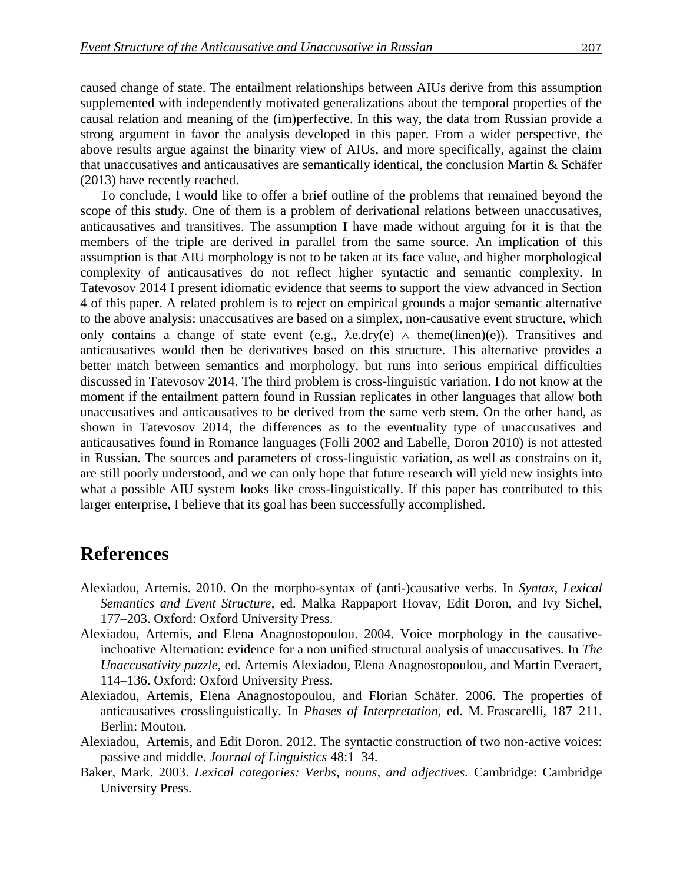caused change of state. The entailment relationships between AIUs derive from this assumption supplemented with independently motivated generalizations about the temporal properties of the causal relation and meaning of the (im)perfective. In this way, the data from Russian provide a strong argument in favor the analysis developed in this paper. From a wider perspective, the above results argue against the binarity view of AIUs, and more specifically, against the claim that unaccusatives and anticausatives are semantically identical, the conclusion Martin & Schäfer (2013) have recently reached.

To conclude, I would like to offer a brief outline of the problems that remained beyond the scope of this study. One of them is a problem of derivational relations between unaccusatives, anticausatives and transitives. The assumption I have made without arguing for it is that the members of the triple are derived in parallel from the same source. An implication of this assumption is that AIU morphology is not to be taken at its face value, and higher morphological complexity of anticausatives do not reflect higher syntactic and semantic complexity. In Tatevosov 2014 I present idiomatic evidence that seems to support the view advanced in Section 4 of this paper. A related problem is to reject on empirical grounds a major semantic alternative to the above analysis: unaccusatives are based on a simplex, non-causative event structure, which only contains a change of state event (e.g.,  $\lambda$ e.dry(e)  $\wedge$  theme(linen)(e)). Transitives and anticausatives would then be derivatives based on this structure. This alternative provides a better match between semantics and morphology, but runs into serious empirical difficulties discussed in Tatevosov 2014. The third problem is cross-linguistic variation. I do not know at the moment if the entailment pattern found in Russian replicates in other languages that allow both unaccusatives and anticausatives to be derived from the same verb stem. On the other hand, as shown in Tatevosov 2014, the differences as to the eventuality type of unaccusatives and anticausatives found in Romance languages (Folli 2002 and Labelle, Doron 2010) is not attested in Russian. The sources and parameters of cross-linguistic variation, as well as constrains on it, are still poorly understood, and we can only hope that future research will yield new insights into what a possible AIU system looks like cross-linguistically. If this paper has contributed to this larger enterprise, I believe that its goal has been successfully accomplished.

## **References**

- Alexiadou, Artemis. 2010. On the morpho-syntax of (anti-)causative verbs. In *Syntax, Lexical Semantics and Event Structure*, ed. Malka Rappaport Hovav, Edit Doron, and Ivy Sichel, 177–203. Oxford: Oxford University Press.
- Alexiadou, Artemis, and Elena Anagnostopoulou. 2004. Voice morphology in the causativeinchoative Alternation: evidence for a non unified structural analysis of unaccusatives. In *The Unaccusativity puzzle*, ed. Artemis Alexiadou, Elena Anagnostopoulou, and Martin Everaert, 114–136. Oxford: Oxford University Press.
- Alexiadou, Artemis, Elena Anagnostopoulou, and Florian Schäfer. 2006. The properties of anticausatives crosslinguistically. In *Phases of Interpretation,* ed. M. Frascarelli, 187–211. Berlin: Mouton.
- Alexiadou, Artemis, and Edit Doron. 2012. The syntactic construction of two non-active voices: passive and middle. *Journal of Linguistics* 48:1–34.
- Baker, Mark. 2003. *Lexical categories: Verbs, nouns, and adjectives.* Cambridge: Cambridge University Press.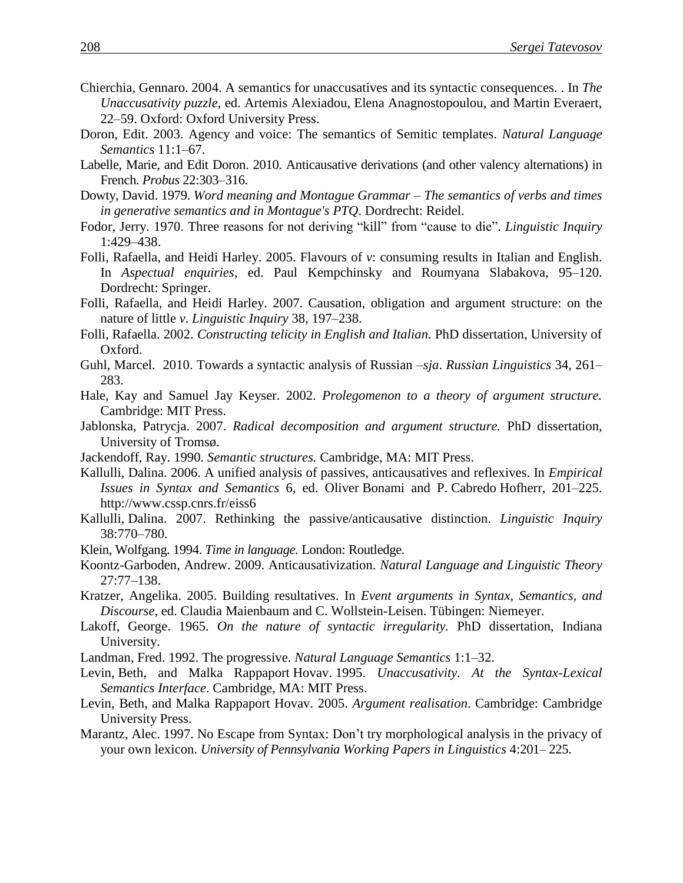- Chierchia, Gennaro. 2004. A semantics for unaccusatives and its syntactic consequences. . In *The Unaccusativity puzzle*, ed. Artemis Alexiadou, Elena Anagnostopoulou, and Martin Everaert, 22–59. Oxford: Oxford University Press.
- Doron, Edit. 2003. Agency and voice: The semantics of Semitic templates. *Natural Language Semantics* 11:1–67.
- Labelle, Marie, and Edit Doron. 2010. Anticausative derivations (and other valency alternations) in French. *Probus* 22:303–316.
- Dowty, David. 1979. *Word meaning and Montague Grammar – The semantics of verbs and times in generative semantics and in Montague's PTQ*. Dordrecht: Reidel.
- Fodor, Jerry. 1970. Three reasons for not deriving "kill" from "cause to die". *Linguistic Inquiry*  1:429–438.
- Folli, Rafaella, and Heidi Harley. 2005. Flavours of *v*: consuming results in Italian and English. In *Aspectual enquiries*, ed. Paul Kempchinsky and Roumyana Slabakova, 95–120. Dordrecht: Springer.
- Folli, Rafaella, and Heidi Harley. 2007. Causation, obligation and argument structure: on the nature of little *v*. *Linguistic Inquiry* 38, 197–238.
- Folli, Rafaella. 2002. *Constructing telicity in English and Italian.* PhD dissertation, University of Oxford.
- Guhl, Marcel. 2010. Towards a syntactic analysis of Russian –*sja*. *Russian Linguistics* 34, 261– 283.
- Hale, Kay and Samuel Jay Keyser. 2002. *Prolegomenon to a theory of argument structure.* Cambridge: MIT Press.
- Jablonska, Patrycja. 2007. *Radical decomposition and argument structure.* PhD dissertation, University of Tromsø.
- Jackendoff, Ray. 1990. *Semantic structures.* Cambridge, MA: MIT Press.
- Kallulli, Dalina. 2006. A unified analysis of passives, anticausatives and reflexives. In *Empirical Issues in Syntax and Semantics* 6, ed. Oliver Bonami and P. Cabredo Hofherr, 201–225. http://www.cssp.cnrs.fr/eiss6
- Kallulli, Dalina. 2007. Rethinking the passive/anticausative distinction. *Linguistic Inquiry* 38:770–780.
- Klein, Wolfgang. 1994. *Time in language.* London: Routledge.
- Koontz-Garboden, Andrew. 2009. Anticausativization. *Natural Language and Linguistic Theory* 27:77–138.
- Kratzer, Angelika. 2005. Building resultatives. In *Event arguments in Syntax, Semantics, and Discourse*, ed. Claudia Maienbaum and C. Wollstein-Leisen. Tübingen: Niemeyer.
- Lakoff, George. 1965. *On the nature of syntactic irregularity.* PhD dissertation, Indiana University.
- Landman, Fred. 1992. The progressive. *Natural Language Semantics* 1:1–32.
- Levin, Beth, and Malka Rappaport Hovav. 1995. *Unaccusativity. At the Syntax-Lexical Semantics Interface*. Cambridge, MA: MIT Press.
- Levin, Beth, and Malka Rappaport Hovav. 2005. *Argument realisation*. Cambridge: Cambridge University Press.
- Marantz, Alec. 1997. No Escape from Syntax: Don't try morphological analysis in the privacy of your own lexicon. *University of Pennsylvania Working Papers in Linguistics* 4:201– 225.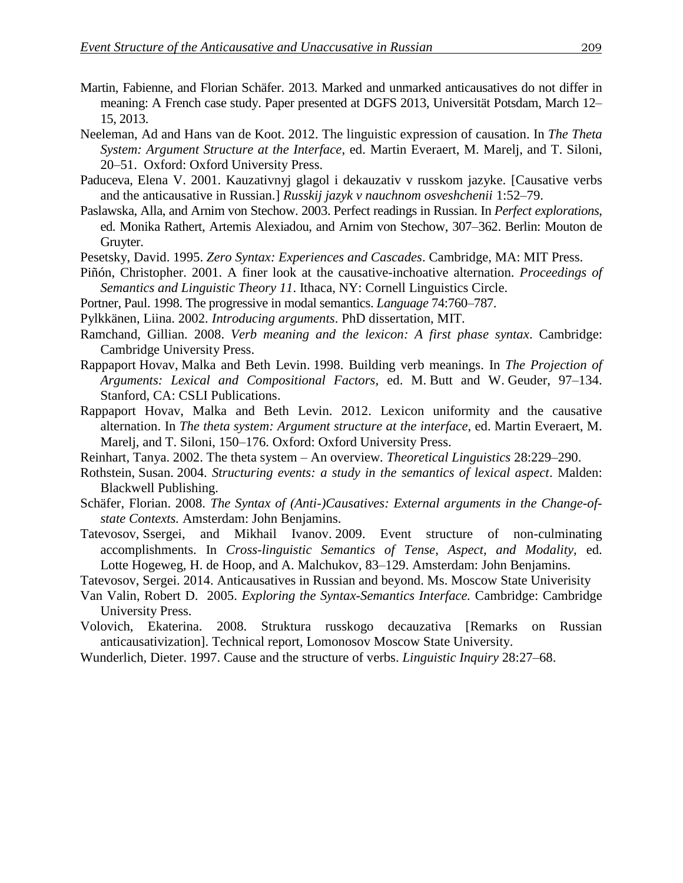- Martin, Fabienne, and Florian Schäfer. 2013. Marked and unmarked anticausatives do not differ in meaning: A French case study. Paper presented at DGFS 2013, Universität Potsdam, March 12– 15, 2013.
- Neeleman, Ad and Hans van de Koot. 2012. The linguistic expression of causation. In *The Theta System: Argument Structure at the Interface*, ed. Martin Everaert, M. Marelj, and T. Siloni, 20–51. Oxford: Oxford University Press.
- Paduceva, Elena V. 2001. Kauzativnyj glagol i dekauzativ v russkom jazyke. [Causative verbs and the anticausative in Russian.] *Russkij jazyk v nauchnom osveshchenii* 1:52–79.
- Paslawska, Alla, and Arnim von Stechow. 2003. Perfect readings in Russian. In *Perfect explorations*, ed. Monika Rathert, Artemis Alexiadou, and Arnim von Stechow, 307–362. Berlin: Mouton de Gruyter.
- Pesetsky, David. 1995. *Zero Syntax: Experiences and Cascades*. Cambridge, MA: MIT Press.
- Piñón, Christopher. 2001. A finer look at the causative-inchoative alternation. *Proceedings of Semantics and Linguistic Theory 11*. Ithaca, NY: Cornell Linguistics Circle.
- Portner, Paul. 1998. The progressive in modal semantics. *Language* 74:760–787.
- Pylkkänen, Liina. 2002. *Introducing arguments*. PhD dissertation, MIT.
- Ramchand, Gillian. 2008. *Verb meaning and the lexicon: A first phase syntax*. Cambridge: Cambridge University Press.
- Rappaport Hovav, Malka and Beth Levin. 1998. Building verb meanings. In *The Projection of Arguments: Lexical and Compositional Factors,* ed. M. Butt and W. Geuder, 97–134. Stanford, CA: CSLI Publications.
- Rappaport Hovav, Malka and Beth Levin. 2012. Lexicon uniformity and the causative alternation. In *The theta system: Argument structure at the interface*, ed. Martin Everaert, M. Marelj, and T. Siloni, 150–176. Oxford: Oxford University Press.
- Reinhart, Tanya. 2002. The theta system An overview*. Theoretical Linguistics* 28:229–290.
- Rothstein, Susan. 2004. *Structuring events: a study in the semantics of lexical aspect*. Malden: Blackwell Publishing.
- Schäfer, Florian. 2008. *The Syntax of (Anti-)Causatives: External arguments in the Change-ofstate Contexts.* Amsterdam: John Benjamins.
- Tatevosov, Ssergei, and Mikhail Ivanov. 2009. Event structure of non-culminating accomplishments. In *Cross-linguistic Semantics of Tense, Aspect, and Modality,* ed. Lotte Hogeweg, H. de Hoop, and A. Malchukov, 83–129. Amsterdam: John Benjamins.
- Tatevosov, Sergei. 2014. Anticausatives in Russian and beyond. Ms. Moscow State Univerisity
- Van Valin, Robert D. 2005. *Exploring the Syntax-Semantics Interface.* Cambridge: Cambridge University Press.
- Volovich, Ekaterina. 2008. Struktura russkogo decauzativa [Remarks on Russian anticausativization]. Technical report, Lomonosov Moscow State University.
- Wunderlich, Dieter. 1997. Cause and the structure of verbs. *Linguistic Inquiry* 28:27–68.